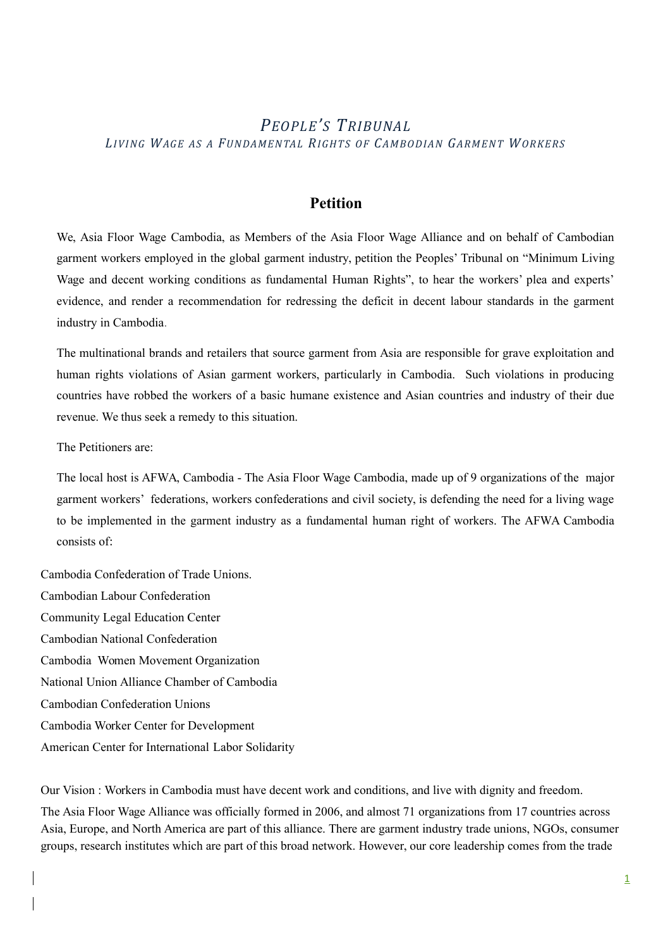# *PEOPLE'S TRIBUNAL LIVING WAGE AS A FUNDAMENTAL RIGHTS OF CAMBODIAN GARMENT WORKERS*

## **Petition**

We, Asia Floor Wage Cambodia, as Members of the Asia Floor Wage Alliance and on behalf of Cambodian garment workers employed in the global garment industry, petition the Peoples' Tribunal on "Minimum Living Wage and decent working conditions as fundamental Human Rights", to hear the workers' plea and experts' evidence, and render a recommendation for redressing the deficit in decent labour standards in the garment industry in Cambodia.

The multinational brands and retailers that source garment from Asia are responsible for grave exploitation and human rights violations of Asian garment workers, particularly in Cambodia. Such violations in producing countries have robbed the workers of a basic humane existence and Asian countries and industry of their due revenue. We thus seek a remedy to this situation.

The Petitioners are:

The local host is AFWA, Cambodia - The Asia Floor Wage Cambodia, made up of 9 organizations of the major garment workers' federations, workers confederations and civil society, is defending the need for a living wage to be implemented in the garment industry as a fundamental human right of workers. The AFWA Cambodia consists of:

Cambodia Confederation of Trade Unions. Cambodian Labour Confederation Community Legal Education Center Cambodian National Confederation Cambodia Women Movement Organization National Union Alliance Chamber of Cambodia Cambodian Confederation Unions Cambodia Worker Center for Development American Center for International Labor Solidarity

Our Vision : Workers in Cambodia must have decent work and conditions, and live with dignity and freedom. The Asia Floor Wage Alliance was officially formed in 2006, and almost 71 organizations from 17 countries across Asia, Europe, and North America are part of this alliance. There are garment industry trade unions, NGOs, consumer groups, research institutes which are part of this broad network. However, our core leadership comes from the trade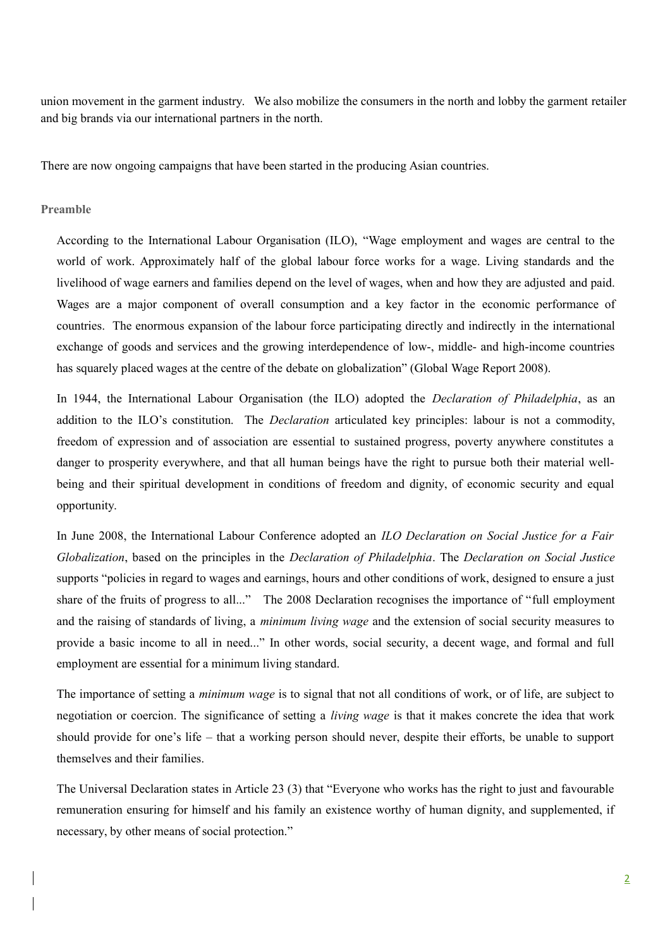union movement in the garment industry. We also mobilize the consumers in the north and lobby the garment retailer and big brands via our international partners in the north.

There are now ongoing campaigns that have been started in the producing Asian countries.

#### **Preamble**

According to the International Labour Organisation (ILO), "Wage employment and wages are central to the world of work. Approximately half of the global labour force works for a wage. Living standards and the livelihood of wage earners and families depend on the level of wages, when and how they are adjusted and paid. Wages are a major component of overall consumption and a key factor in the economic performance of countries. The enormous expansion of the labour force participating directly and indirectly in the international exchange of goods and services and the growing interdependence of low-, middle- and high-income countries has squarely placed wages at the centre of the debate on globalization" (Global Wage Report 2008).

In 1944, the International Labour Organisation (the ILO) adopted the *Declaration of Philadelphia*, as an addition to the ILO's constitution. The *Declaration* articulated key principles: labour is not a commodity, freedom of expression and of association are essential to sustained progress, poverty anywhere constitutes a danger to prosperity everywhere, and that all human beings have the right to pursue both their material wellbeing and their spiritual development in conditions of freedom and dignity, of economic security and equal opportunity.

In June 2008, the International Labour Conference adopted an *ILO Declaration on Social Justice for a Fair Globalization*, based on the principles in the *Declaration of Philadelphia*. The *Declaration on Social Justice* supports "policies in regard to wages and earnings, hours and other conditions of work, designed to ensure a just share of the fruits of progress to all..." The 2008 Declaration recognises the importance of "full employment and the raising of standards of living, a *minimum living wage* and the extension of social security measures to provide a basic income to all in need..." In other words, social security, a decent wage, and formal and full employment are essential for a minimum living standard.

The importance of setting a *minimum wage* is to signal that not all conditions of work, or of life, are subject to negotiation or coercion. The significance of setting a *living wage* is that it makes concrete the idea that work should provide for one's life – that a working person should never, despite their efforts, be unable to support themselves and their families.

The Universal Declaration states in Article 23 (3) that "Everyone who works has the right to just and favourable remuneration ensuring for himself and his family an existence worthy of human dignity, and supplemented, if necessary, by other means of social protection."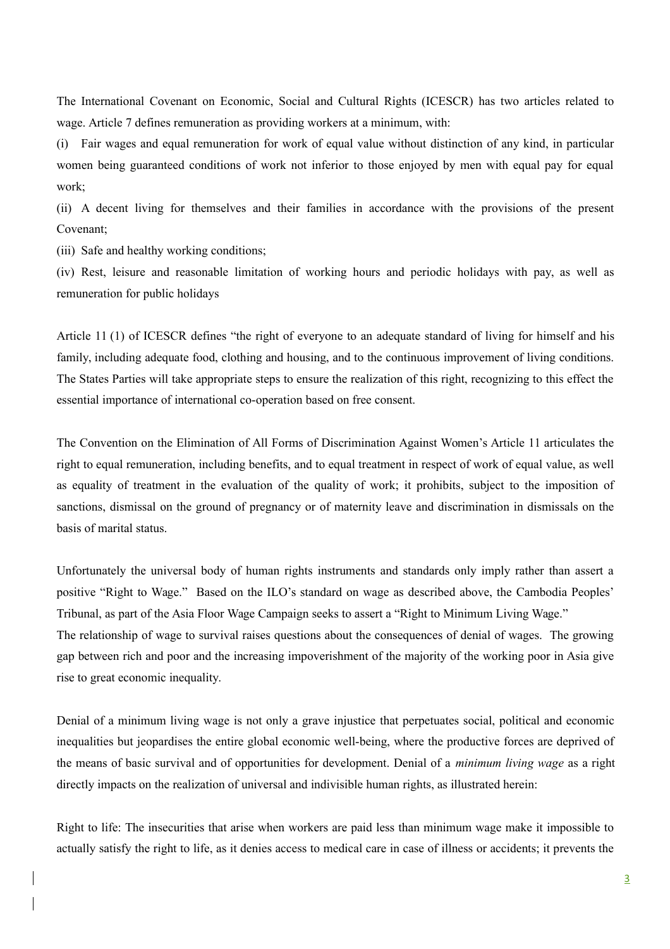The International Covenant on Economic, Social and Cultural Rights (ICESCR) has two articles related to wage. Article 7 defines remuneration as providing workers at a minimum, with:

(i) Fair wages and equal remuneration for work of equal value without distinction of any kind, in particular women being guaranteed conditions of work not inferior to those enjoyed by men with equal pay for equal work;

(ii) A decent living for themselves and their families in accordance with the provisions of the present Covenant;

(iii) Safe and healthy working conditions;

(iv) Rest, leisure and reasonable limitation of working hours and periodic holidays with pay, as well as remuneration for public holidays

Article 11 (1) of ICESCR defines "the right of everyone to an adequate standard of living for himself and his family, including adequate food, clothing and housing, and to the continuous improvement of living conditions. The States Parties will take appropriate steps to ensure the realization of this right, recognizing to this effect the essential importance of international co-operation based on free consent.

The Convention on the Elimination of All Forms of Discrimination Against Women's Article 11 articulates the right to equal remuneration, including benefits, and to equal treatment in respect of work of equal value, as well as equality of treatment in the evaluation of the quality of work; it prohibits, subject to the imposition of sanctions, dismissal on the ground of pregnancy or of maternity leave and discrimination in dismissals on the basis of marital status.

Unfortunately the universal body of human rights instruments and standards only imply rather than assert a positive "Right to Wage." Based on the ILO's standard on wage as described above, the Cambodia Peoples' Tribunal, as part of the Asia Floor Wage Campaign seeks to assert a "Right to Minimum Living Wage." The relationship of wage to survival raises questions about the consequences of denial of wages. The growing gap between rich and poor and the increasing impoverishment of the majority of the working poor in Asia give rise to great economic inequality.

Denial of a minimum living wage is not only a grave injustice that perpetuates social, political and economic inequalities but jeopardises the entire global economic well-being, where the productive forces are deprived of the means of basic survival and of opportunities for development. Denial of a *minimum living wage* as a right directly impacts on the realization of universal and indivisible human rights, as illustrated herein:

Right to life: The insecurities that arise when workers are paid less than minimum wage make it impossible to actually satisfy the right to life, as it denies access to medical care in case of illness or accidents; it prevents the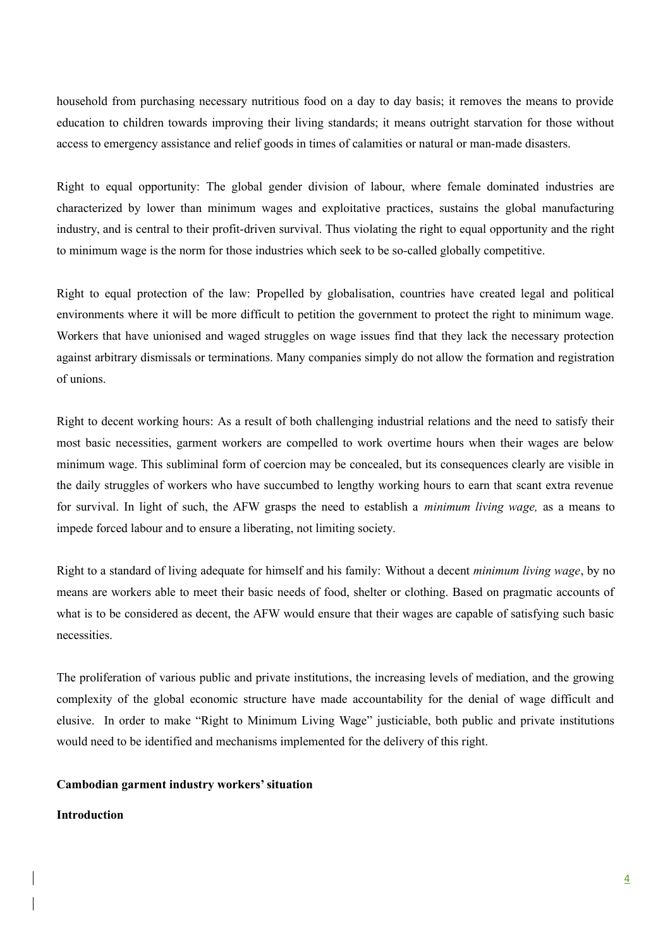household from purchasing necessary nutritious food on a day to day basis; it removes the means to provide education to children towards improving their living standards; it means outright starvation for those without access to emergency assistance and relief goods in times of calamities or natural or man-made disasters.

Right to equal opportunity: The global gender division of labour, where female dominated industries are characterized by lower than minimum wages and exploitative practices, sustains the global manufacturing industry, and is central to their profit-driven survival. Thus violating the right to equal opportunity and the right to minimum wage is the norm for those industries which seek to be so-called globally competitive.

Right to equal protection of the law: Propelled by globalisation, countries have created legal and political environments where it will be more difficult to petition the government to protect the right to minimum wage. Workers that have unionised and waged struggles on wage issues find that they lack the necessary protection against arbitrary dismissals or terminations. Many companies simply do not allow the formation and registration of unions.

Right to decent working hours: As a result of both challenging industrial relations and the need to satisfy their most basic necessities, garment workers are compelled to work overtime hours when their wages are below minimum wage. This subliminal form of coercion may be concealed, but its consequences clearly are visible in the daily struggles of workers who have succumbed to lengthy working hours to earn that scant extra revenue for survival. In light of such, the AFW grasps the need to establish a *minimum living wage,* as a means to impede forced labour and to ensure a liberating, not limiting society.

Right to a standard of living adequate for himself and his family: Without a decent *minimum living wage*, by no means are workers able to meet their basic needs of food, shelter or clothing. Based on pragmatic accounts of what is to be considered as decent, the AFW would ensure that their wages are capable of satisfying such basic necessities.

The proliferation of various public and private institutions, the increasing levels of mediation, and the growing complexity of the global economic structure have made accountability for the denial of wage difficult and elusive. In order to make "Right to Minimum Living Wage" justiciable, both public and private institutions would need to be identified and mechanisms implemented for the delivery of this right.

### **Cambodian garment industry workers' situation**

#### **Introduction**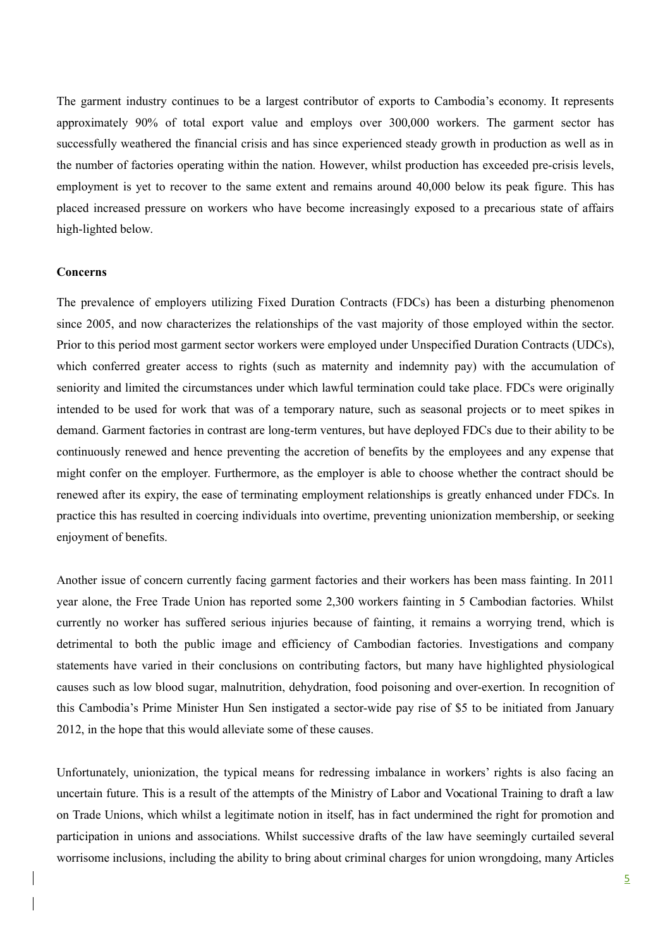The garment industry continues to be a largest contributor of exports to Cambodia's economy. It represents approximately 90% of total export value and employs over 300,000 workers. The garment sector has successfully weathered the financial crisis and has since experienced steady growth in production as well as in the number of factories operating within the nation. However, whilst production has exceeded pre-crisis levels, employment is yet to recover to the same extent and remains around 40,000 below its peak figure. This has placed increased pressure on workers who have become increasingly exposed to a precarious state of affairs high-lighted below.

#### **Concerns**

The prevalence of employers utilizing Fixed Duration Contracts (FDCs) has been a disturbing phenomenon since 2005, and now characterizes the relationships of the vast majority of those employed within the sector. Prior to this period most garment sector workers were employed under Unspecified Duration Contracts (UDCs), which conferred greater access to rights (such as maternity and indemnity pay) with the accumulation of seniority and limited the circumstances under which lawful termination could take place. FDCs were originally intended to be used for work that was of a temporary nature, such as seasonal projects or to meet spikes in demand. Garment factories in contrast are long-term ventures, but have deployed FDCs due to their ability to be continuously renewed and hence preventing the accretion of benefits by the employees and any expense that might confer on the employer. Furthermore, as the employer is able to choose whether the contract should be renewed after its expiry, the ease of terminating employment relationships is greatly enhanced under FDCs. In practice this has resulted in coercing individuals into overtime, preventing unionization membership, or seeking enjoyment of benefits.

Another issue of concern currently facing garment factories and their workers has been mass fainting. In 2011 year alone, the Free Trade Union has reported some 2,300 workers fainting in 5 Cambodian factories. Whilst currently no worker has suffered serious injuries because of fainting, it remains a worrying trend, which is detrimental to both the public image and efficiency of Cambodian factories. Investigations and company statements have varied in their conclusions on contributing factors, but many have highlighted physiological causes such as low blood sugar, malnutrition, dehydration, food poisoning and over-exertion. In recognition of this Cambodia's Prime Minister Hun Sen instigated a sector-wide pay rise of \$5 to be initiated from January 2012, in the hope that this would alleviate some of these causes.

Unfortunately, unionization, the typical means for redressing imbalance in workers' rights is also facing an uncertain future. This is a result of the attempts of the Ministry of Labor and Vocational Training to draft a law on Trade Unions, which whilst a legitimate notion in itself, has in fact undermined the right for promotion and participation in unions and associations. Whilst successive drafts of the law have seemingly curtailed several worrisome inclusions, including the ability to bring about criminal charges for union wrongdoing, many Articles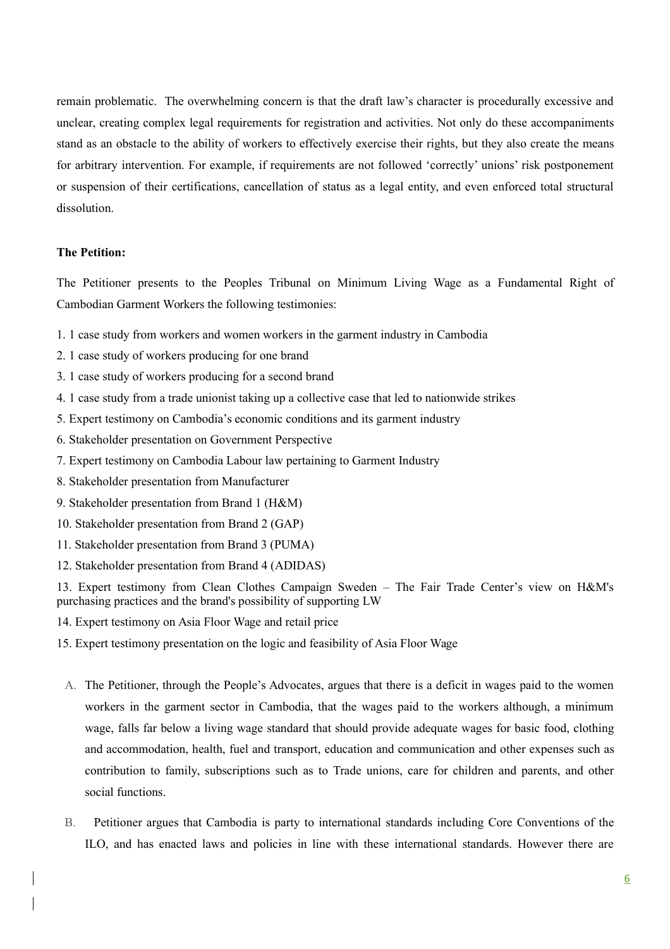remain problematic. The overwhelming concern is that the draft law's character is procedurally excessive and unclear, creating complex legal requirements for registration and activities. Not only do these accompaniments stand as an obstacle to the ability of workers to effectively exercise their rights, but they also create the means for arbitrary intervention. For example, if requirements are not followed 'correctly' unions' risk postponement or suspension of their certifications, cancellation of status as a legal entity, and even enforced total structural dissolution.

#### **The Petition:**

The Petitioner presents to the Peoples Tribunal on Minimum Living Wage as a Fundamental Right of Cambodian Garment Workers the following testimonies:

- 1. 1 case study from workers and women workers in the garment industry in Cambodia
- 2. 1 case study of workers producing for one brand
- 3. 1 case study of workers producing for a second brand
- 4. 1 case study from a trade unionist taking up a collective case that led to nationwide strikes
- 5. Expert testimony on Cambodia's economic conditions and its garment industry
- 6. Stakeholder presentation on Government Perspective
- 7. Expert testimony on Cambodia Labour law pertaining to Garment Industry
- 8. Stakeholder presentation from Manufacturer
- 9. Stakeholder presentation from Brand 1 (H&M)
- 10. Stakeholder presentation from Brand 2 (GAP)
- 11. Stakeholder presentation from Brand 3 (PUMA)
- 12. Stakeholder presentation from Brand 4 (ADIDAS)

13. Expert testimony from Clean Clothes Campaign Sweden – The Fair Trade Center's view on H&M's purchasing practices and the brand's possibility of supporting LW

- 14. Expert testimony on Asia Floor Wage and retail price
- 15. Expert testimony presentation on the logic and feasibility of Asia Floor Wage
- A. The Petitioner, through the People's Advocates, argues that there is a deficit in wages paid to the women workers in the garment sector in Cambodia, that the wages paid to the workers although, a minimum wage, falls far below a living wage standard that should provide adequate wages for basic food, clothing and accommodation, health, fuel and transport, education and communication and other expenses such as contribution to family, subscriptions such as to Trade unions, care for children and parents, and other social functions.
- B. Petitioner argues that Cambodia is party to international standards including Core Conventions of the ILO, and has enacted laws and policies in line with these international standards. However there are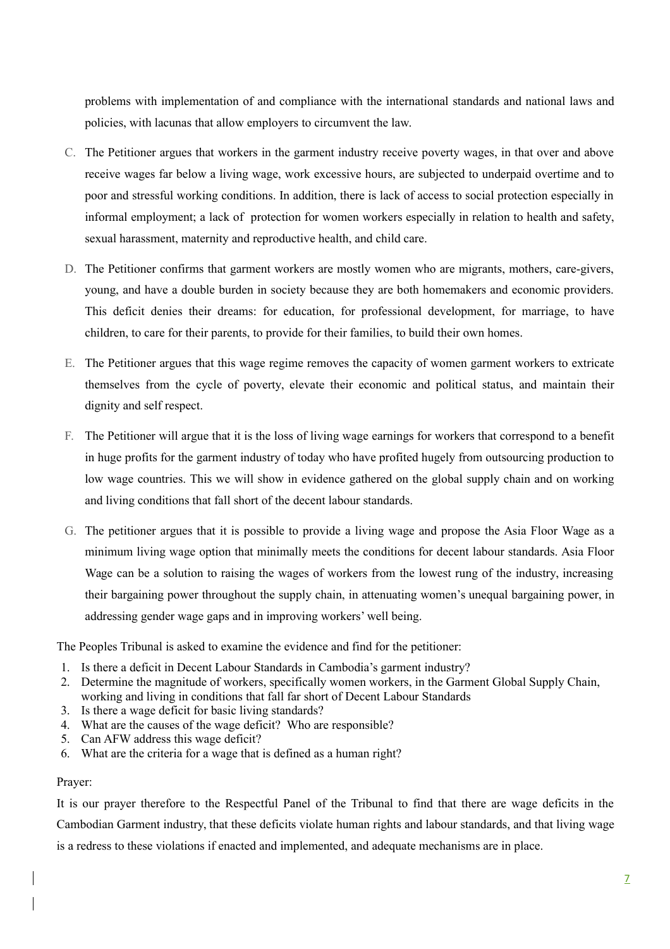problems with implementation of and compliance with the international standards and national laws and policies, with lacunas that allow employers to circumvent the law.

- C. The Petitioner argues that workers in the garment industry receive poverty wages, in that over and above receive wages far below a living wage, work excessive hours, are subjected to underpaid overtime and to poor and stressful working conditions. In addition, there is lack of access to social protection especially in informal employment; a lack of protection for women workers especially in relation to health and safety, sexual harassment, maternity and reproductive health, and child care.
- D. The Petitioner confirms that garment workers are mostly women who are migrants, mothers, care-givers, young, and have a double burden in society because they are both homemakers and economic providers. This deficit denies their dreams: for education, for professional development, for marriage, to have children, to care for their parents, to provide for their families, to build their own homes.
- E. The Petitioner argues that this wage regime removes the capacity of women garment workers to extricate themselves from the cycle of poverty, elevate their economic and political status, and maintain their dignity and self respect.
- F. The Petitioner will argue that it is the loss of living wage earnings for workers that correspond to a benefit in huge profits for the garment industry of today who have profited hugely from outsourcing production to low wage countries. This we will show in evidence gathered on the global supply chain and on working and living conditions that fall short of the decent labour standards.
- G. The petitioner argues that it is possible to provide a living wage and propose the Asia Floor Wage as a minimum living wage option that minimally meets the conditions for decent labour standards. Asia Floor Wage can be a solution to raising the wages of workers from the lowest rung of the industry, increasing their bargaining power throughout the supply chain, in attenuating women's unequal bargaining power, in addressing gender wage gaps and in improving workers' well being.

The Peoples Tribunal is asked to examine the evidence and find for the petitioner:

- 1. Is there a deficit in Decent Labour Standards in Cambodia's garment industry?
- 2. Determine the magnitude of workers, specifically women workers, in the Garment Global Supply Chain, working and living in conditions that fall far short of Decent Labour Standards
- 3. Is there a wage deficit for basic living standards?
- 4. What are the causes of the wage deficit? Who are responsible?
- 5. Can AFW address this wage deficit?
- 6. What are the criteria for a wage that is defined as a human right?

### Prayer:

It is our prayer therefore to the Respectful Panel of the Tribunal to find that there are wage deficits in the Cambodian Garment industry, that these deficits violate human rights and labour standards, and that living wage is a redress to these violations if enacted and implemented, and adequate mechanisms are in place.